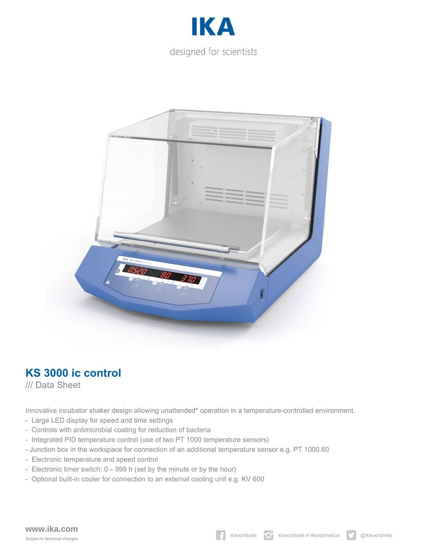



## **KS 3000 ic control**

/// Data Sheet

Innovative incubator shaker design allowing unattended\* operation in a temperature-controlled environment.

- Large LED display for speed and time settings
- Controls with antimicrobial coating for reduction of bacteria
- Integrated PID temperature control (use of two PT 1000 temperature sensors)
- Junction box in the workspace for connection of an additional temperature sensor e.g. PT 1000.60
- Electronic temperature and speed control
- Electronic timer switch: 0 999 h (set by the minute or by the hour)
- Optional built-in cooler for connection to an external cooling unit e.g. KV 600

## **www.ika.com** Subject to technical changes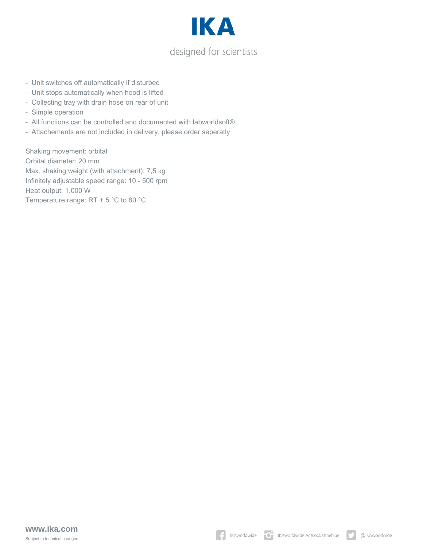

- Unit switches off automatically if disturbed
- Unit stops automatically when hood is lifted
- Collecting tray with drain hose on rear of unit
- Simple operation
- All functions can be controlled and documented with labworldsoft®
- Attachements are not included in delivery, please order seperatly

Shaking movement: orbital Orbital diameter: 20 mm Max. shaking weight (with attachment): 7,5 kg Infinitely adjustable speed range: 10 - 500 rpm Heat output: 1.000 W Temperature range: RT + 5 °C to 80 °C